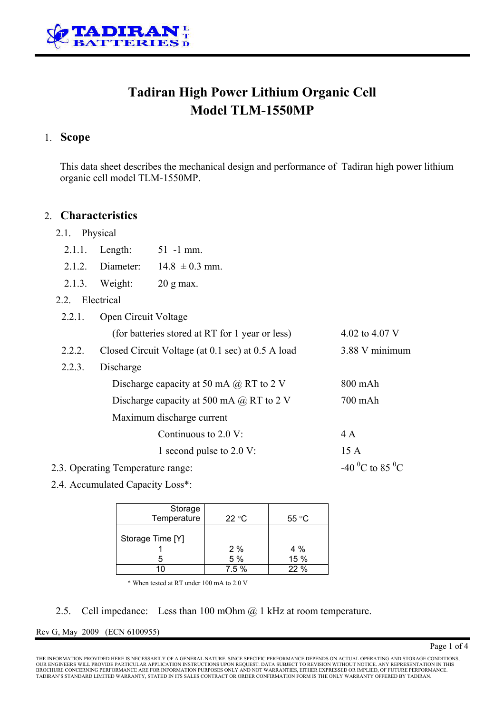

# **Tadiran High Power Lithium Organic Cell Model TLM-1550MP**

## 1. **Scope**

This data sheet describes the mechanical design and performance of Tadiran high power lithium organic cell model TLM-1550MP.

## 2. **Characteristics**

- 2.1. Physical
	- 2.1.1. Length: 51 -1 mm.
	- 2.1.2. Diameter:  $14.8 \pm 0.3$  mm.
	- 2.1.3. Weight: 20 g max.
- 2.2. Electrical

| 2.2.1.                            | Open Circuit Voltage                              |                                         |
|-----------------------------------|---------------------------------------------------|-----------------------------------------|
|                                   | (for batteries stored at RT for 1 year or less)   | 4.02 to 4.07 V                          |
| 2.2.2.                            | Closed Circuit Voltage (at 0.1 sec) at 0.5 A load | 3.88 V minimum                          |
| 2.2.3.                            | Discharge                                         |                                         |
|                                   | Discharge capacity at 50 mA $\omega$ RT to 2 V    | $800$ mAh                               |
|                                   | Discharge capacity at 500 mA $\omega$ RT to 2 V   | 700 mAh                                 |
|                                   | Maximum discharge current                         |                                         |
|                                   | Continuous to $2.0 \text{ V}$ :                   | 4 A                                     |
|                                   | 1 second pulse to 2.0 V:                          | 15A                                     |
| 2.3. Operating Temperature range: |                                                   | -40 <sup>o</sup> C to 85 <sup>o</sup> C |

2.4. Accumulated Capacity Loss\*:

| Storage<br>Temperature | 22 °C | $55^{\circ}$ C |
|------------------------|-------|----------------|
| Storage Time [Y]       |       |                |
|                        | 2%    | 4 %            |
|                        | 5 %   | 15 %           |
|                        | 7.5 % | 22 %           |

\* When tested at RT under 100 mA to 2.0 V

### 2.5. Cell impedance: Less than 100 mOhm @ 1 kHz at room temperature.

### Rev G, May 2009 (ECN 6100955)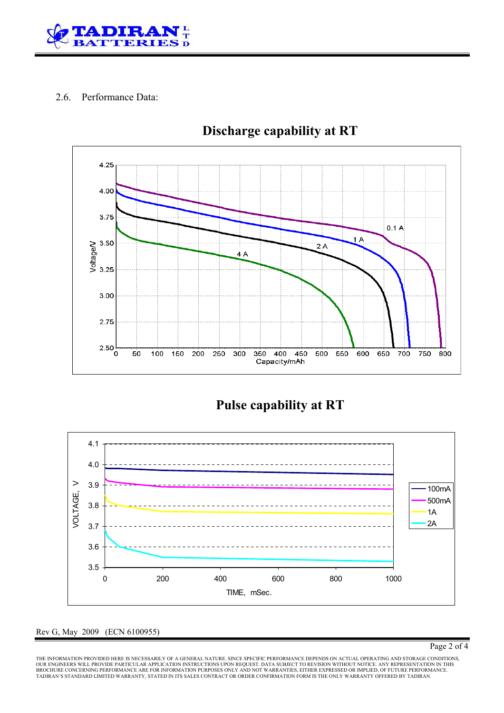

## 2.6. Performance Data:



# **Discharge capability at RT**

**Pulse capability at RT** 



### Rev G, May 2009 (ECN 6100955)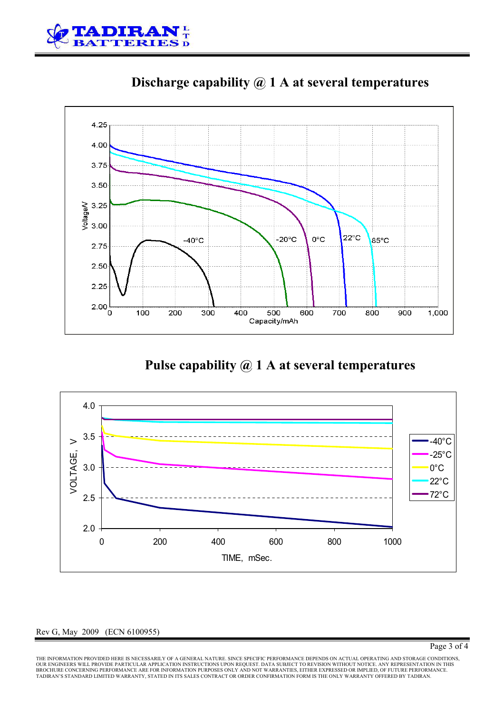



**Discharge capability @ 1 A at several temperatures** 

**Pulse capability @ 1 A at several temperatures** 



### Rev G, May 2009 (ECN 6100955)